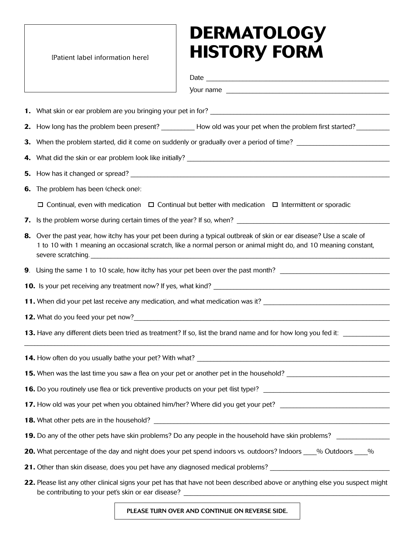## **Dermatology IPatient label information herel history FORM**

| 2. How long has the problem been present? ___________How old was your pet when the problem first started? _________                                                                                                                                          |  |  |  |  |  |  |
|--------------------------------------------------------------------------------------------------------------------------------------------------------------------------------------------------------------------------------------------------------------|--|--|--|--|--|--|
|                                                                                                                                                                                                                                                              |  |  |  |  |  |  |
|                                                                                                                                                                                                                                                              |  |  |  |  |  |  |
|                                                                                                                                                                                                                                                              |  |  |  |  |  |  |
| 6. The problem has been (check one):                                                                                                                                                                                                                         |  |  |  |  |  |  |
| $\Box$ Continual, even with medication $\Box$ Continual but better with medication $\Box$ Intermittent or sporadic                                                                                                                                           |  |  |  |  |  |  |
| 7. Is the problem worse during certain times of the year? If so, when?                                                                                                                                                                                       |  |  |  |  |  |  |
| 8. Over the past year, how itchy has your pet been during a typical outbreak of skin or ear disease? Use a scale of<br>1 to 10 with 1 meaning an occasional scratch, like a normal person or animal might do, and 10 meaning constant,<br>severe scratching. |  |  |  |  |  |  |
|                                                                                                                                                                                                                                                              |  |  |  |  |  |  |
|                                                                                                                                                                                                                                                              |  |  |  |  |  |  |
|                                                                                                                                                                                                                                                              |  |  |  |  |  |  |
|                                                                                                                                                                                                                                                              |  |  |  |  |  |  |
| 13. Have any different diets been tried as treatment? If so, list the brand name and for how long you fed it:                                                                                                                                                |  |  |  |  |  |  |
|                                                                                                                                                                                                                                                              |  |  |  |  |  |  |
|                                                                                                                                                                                                                                                              |  |  |  |  |  |  |
|                                                                                                                                                                                                                                                              |  |  |  |  |  |  |
| 17. How old was your pet when you obtained him/her? Where did you get your pet? ______________________________                                                                                                                                               |  |  |  |  |  |  |
|                                                                                                                                                                                                                                                              |  |  |  |  |  |  |
| 19. Do any of the other pets have skin problems? Do any people in the household have skin problems?                                                                                                                                                          |  |  |  |  |  |  |
| 20. What percentage of the day and night does your pet spend indoors vs. outdoors? Indoors % Outdoors %                                                                                                                                                      |  |  |  |  |  |  |
| 21. Other than skin disease, does you pet have any diagnosed medical problems? _______________________________                                                                                                                                               |  |  |  |  |  |  |
|                                                                                                                                                                                                                                                              |  |  |  |  |  |  |

**22.** Please list any other clinical signs your pet has that have not been described above or anything else you suspect might be contributing to your pet's skin or ear disease?

Please turn over and continue on reverse side.